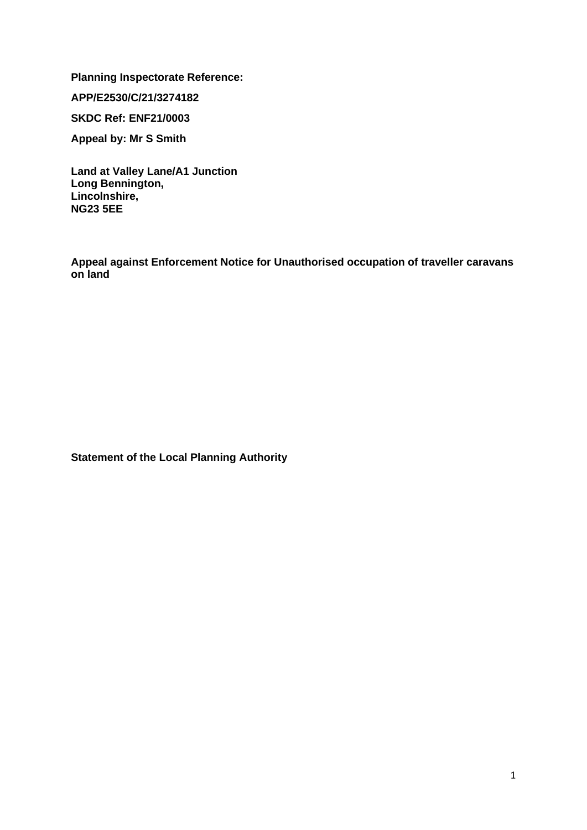**Planning Inspectorate Reference:** 

**APP/E2530/C/21/3274182**

**SKDC Ref: ENF21/0003**

**Appeal by: Mr S Smith**

**Land at Valley Lane/A1 Junction Long Bennington, Lincolnshire, NG23 5EE**

**Appeal against Enforcement Notice for Unauthorised occupation of traveller caravans on land**

**Statement of the Local Planning Authority**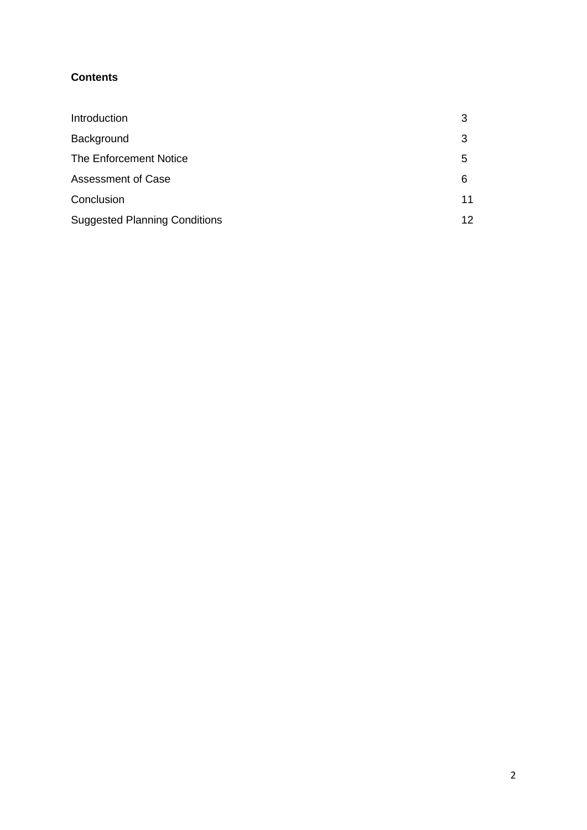# **Contents**

| Introduction                         |    |
|--------------------------------------|----|
| Background                           | 3  |
| <b>The Enforcement Notice</b>        | 5  |
| <b>Assessment of Case</b>            | 6  |
| Conclusion                           | 11 |
| <b>Suggested Planning Conditions</b> | 12 |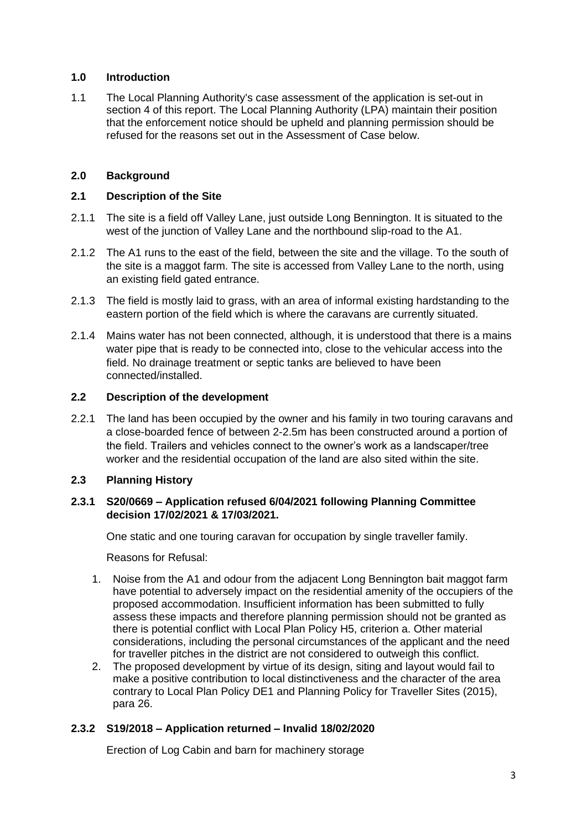#### **1.0 Introduction**

1.1 The Local Planning Authority's case assessment of the application is set-out in section 4 of this report. The Local Planning Authority (LPA) maintain their position that the enforcement notice should be upheld and planning permission should be refused for the reasons set out in the Assessment of Case below.

### **2.0 Background**

### **2.1 Description of the Site**

- 2.1.1 The site is a field off Valley Lane, just outside Long Bennington. It is situated to the west of the junction of Valley Lane and the northbound slip-road to the A1.
- 2.1.2 The A1 runs to the east of the field, between the site and the village. To the south of the site is a maggot farm. The site is accessed from Valley Lane to the north, using an existing field gated entrance.
- 2.1.3 The field is mostly laid to grass, with an area of informal existing hardstanding to the eastern portion of the field which is where the caravans are currently situated.
- 2.1.4 Mains water has not been connected, although, it is understood that there is a mains water pipe that is ready to be connected into, close to the vehicular access into the field. No drainage treatment or septic tanks are believed to have been connected/installed.

#### **2.2 Description of the development**

2.2.1 The land has been occupied by the owner and his family in two touring caravans and a close-boarded fence of between 2-2.5m has been constructed around a portion of the field. Trailers and vehicles connect to the owner's work as a landscaper/tree worker and the residential occupation of the land are also sited within the site.

# **2.3 Planning History**

#### **2.3.1 S20/0669 – Application refused 6/04/2021 following Planning Committee decision 17/02/2021 & 17/03/2021.**

One static and one touring caravan for occupation by single traveller family.

Reasons for Refusal:

- 1. Noise from the A1 and odour from the adjacent Long Bennington bait maggot farm have potential to adversely impact on the residential amenity of the occupiers of the proposed accommodation. Insufficient information has been submitted to fully assess these impacts and therefore planning permission should not be granted as there is potential conflict with Local Plan Policy H5, criterion a. Other material considerations, including the personal circumstances of the applicant and the need for traveller pitches in the district are not considered to outweigh this conflict.
- 2. The proposed development by virtue of its design, siting and layout would fail to make a positive contribution to local distinctiveness and the character of the area contrary to Local Plan Policy DE1 and Planning Policy for Traveller Sites (2015), para 26.

# **2.3.2 S19/2018 – Application returned – Invalid 18/02/2020**

Erection of Log Cabin and barn for machinery storage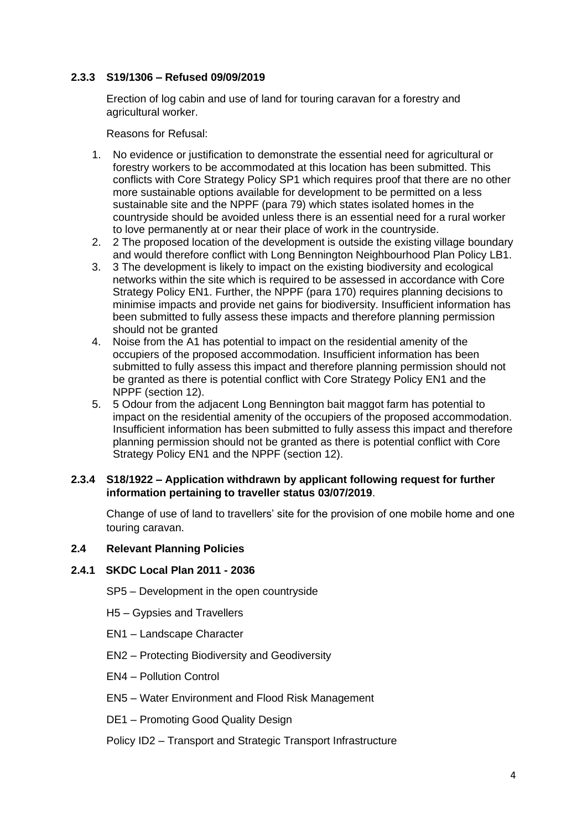#### **2.3.3 S19/1306 – Refused 09/09/2019**

Erection of log cabin and use of land for touring caravan for a forestry and agricultural worker.

Reasons for Refusal:

- 1. No evidence or justification to demonstrate the essential need for agricultural or forestry workers to be accommodated at this location has been submitted. This conflicts with Core Strategy Policy SP1 which requires proof that there are no other more sustainable options available for development to be permitted on a less sustainable site and the NPPF (para 79) which states isolated homes in the countryside should be avoided unless there is an essential need for a rural worker to love permanently at or near their place of work in the countryside.
- 2. 2 The proposed location of the development is outside the existing village boundary and would therefore conflict with Long Bennington Neighbourhood Plan Policy LB1.
- 3. 3 The development is likely to impact on the existing biodiversity and ecological networks within the site which is required to be assessed in accordance with Core Strategy Policy EN1. Further, the NPPF (para 170) requires planning decisions to minimise impacts and provide net gains for biodiversity. Insufficient information has been submitted to fully assess these impacts and therefore planning permission should not be granted
- 4. Noise from the A1 has potential to impact on the residential amenity of the occupiers of the proposed accommodation. Insufficient information has been submitted to fully assess this impact and therefore planning permission should not be granted as there is potential conflict with Core Strategy Policy EN1 and the NPPF (section 12).
- 5. 5 Odour from the adjacent Long Bennington bait maggot farm has potential to impact on the residential amenity of the occupiers of the proposed accommodation. Insufficient information has been submitted to fully assess this impact and therefore planning permission should not be granted as there is potential conflict with Core Strategy Policy EN1 and the NPPF (section 12).

#### **2.3.4 S18/1922 – Application withdrawn by applicant following request for further information pertaining to traveller status 03/07/2019**.

Change of use of land to travellers' site for the provision of one mobile home and one touring caravan.

#### **2.4 Relevant Planning Policies**

#### **2.4.1 SKDC Local Plan 2011 - 2036**

- SP5 Development in the open countryside
- H5 Gypsies and Travellers
- EN1 Landscape Character
- EN2 Protecting Biodiversity and Geodiversity
- EN4 Pollution Control
- EN5 Water Environment and Flood Risk Management
- DE1 Promoting Good Quality Design

#### Policy ID2 – Transport and Strategic Transport Infrastructure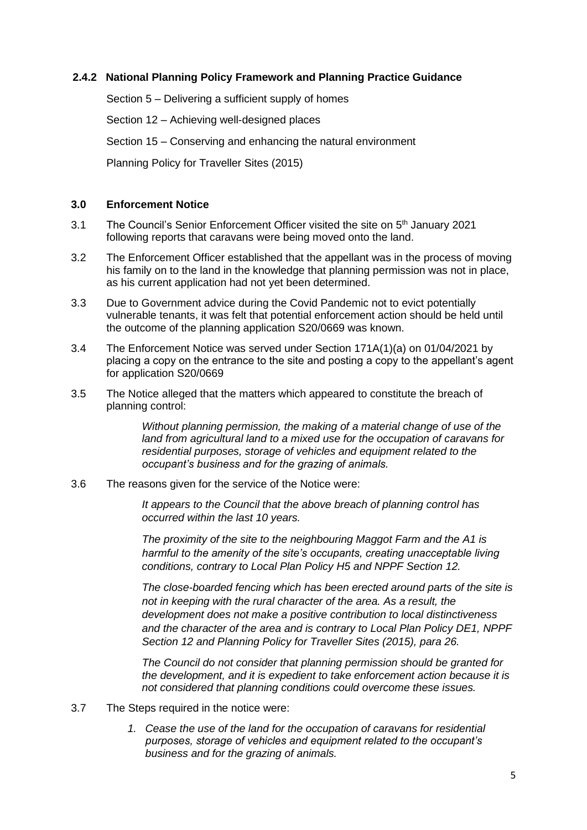#### **2.4.2 National Planning Policy Framework and Planning Practice Guidance**

Section 5 – Delivering a sufficient supply of homes

Section 12 – Achieving well-designed places

Section 15 – Conserving and enhancing the natural environment

Planning Policy for Traveller Sites (2015)

#### **3.0 Enforcement Notice**

- 3.1 The Council's Senior Enforcement Officer visited the site on 5<sup>th</sup> January 2021 following reports that caravans were being moved onto the land.
- 3.2 The Enforcement Officer established that the appellant was in the process of moving his family on to the land in the knowledge that planning permission was not in place, as his current application had not yet been determined.
- 3.3 Due to Government advice during the Covid Pandemic not to evict potentially vulnerable tenants, it was felt that potential enforcement action should be held until the outcome of the planning application S20/0669 was known.
- 3.4 The Enforcement Notice was served under Section 171A(1)(a) on 01/04/2021 by placing a copy on the entrance to the site and posting a copy to the appellant's agent for application S20/0669
- 3.5 The Notice alleged that the matters which appeared to constitute the breach of planning control:

*Without planning permission, the making of a material change of use of the land from agricultural land to a mixed use for the occupation of caravans for residential purposes, storage of vehicles and equipment related to the occupant's business and for the grazing of animals.*

3.6 The reasons given for the service of the Notice were:

*It appears to the Council that the above breach of planning control has occurred within the last 10 years.* 

*The proximity of the site to the neighbouring Maggot Farm and the A1 is harmful to the amenity of the site's occupants, creating unacceptable living conditions, contrary to Local Plan Policy H5 and NPPF Section 12.*

*The close-boarded fencing which has been erected around parts of the site is not in keeping with the rural character of the area. As a result, the development does not make a positive contribution to local distinctiveness and the character of the area and is contrary to Local Plan Policy DE1, NPPF Section 12 and Planning Policy for Traveller Sites (2015), para 26.*

*The Council do not consider that planning permission should be granted for the development, and it is expedient to take enforcement action because it is not considered that planning conditions could overcome these issues.*

- 3.7 The Steps required in the notice were:
	- *1. Cease the use of the land for the occupation of caravans for residential purposes, storage of vehicles and equipment related to the occupant's business and for the grazing of animals.*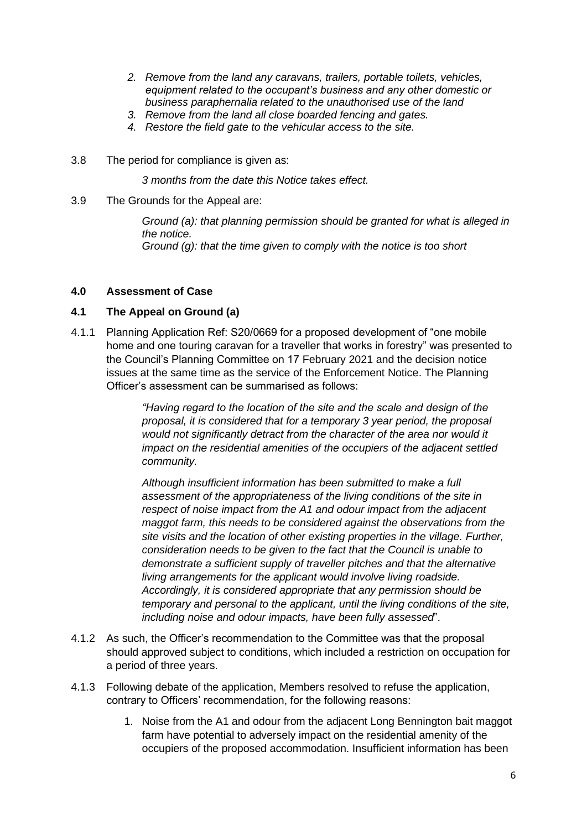- *2. Remove from the land any caravans, trailers, portable toilets, vehicles, equipment related to the occupant's business and any other domestic or business paraphernalia related to the unauthorised use of the land*
- *3. Remove from the land all close boarded fencing and gates.*
- *4. Restore the field gate to the vehicular access to the site.*
- 3.8 The period for compliance is given as:

*3 months from the date this Notice takes effect.*

3.9 The Grounds for the Appeal are:

*Ground (a): that planning permission should be granted for what is alleged in the notice. Ground (g): that the time given to comply with the notice is too short*

#### **4.0 Assessment of Case**

#### **4.1 The Appeal on Ground (a)**

4.1.1 Planning Application Ref: S20/0669 for a proposed development of "one mobile home and one touring caravan for a traveller that works in forestry" was presented to the Council's Planning Committee on 17 February 2021 and the decision notice issues at the same time as the service of the Enforcement Notice. The Planning Officer's assessment can be summarised as follows:

> *"Having regard to the location of the site and the scale and design of the proposal, it is considered that for a temporary 3 year period, the proposal would not significantly detract from the character of the area nor would it impact on the residential amenities of the occupiers of the adjacent settled community.*

*Although insufficient information has been submitted to make a full assessment of the appropriateness of the living conditions of the site in respect of noise impact from the A1 and odour impact from the adjacent maggot farm, this needs to be considered against the observations from the site visits and the location of other existing properties in the village. Further, consideration needs to be given to the fact that the Council is unable to demonstrate a sufficient supply of traveller pitches and that the alternative living arrangements for the applicant would involve living roadside. Accordingly, it is considered appropriate that any permission should be temporary and personal to the applicant, until the living conditions of the site, including noise and odour impacts, have been fully assessed*".

- 4.1.2 As such, the Officer's recommendation to the Committee was that the proposal should approved subject to conditions, which included a restriction on occupation for a period of three years.
- 4.1.3 Following debate of the application, Members resolved to refuse the application, contrary to Officers' recommendation, for the following reasons:
	- 1. Noise from the A1 and odour from the adjacent Long Bennington bait maggot farm have potential to adversely impact on the residential amenity of the occupiers of the proposed accommodation. Insufficient information has been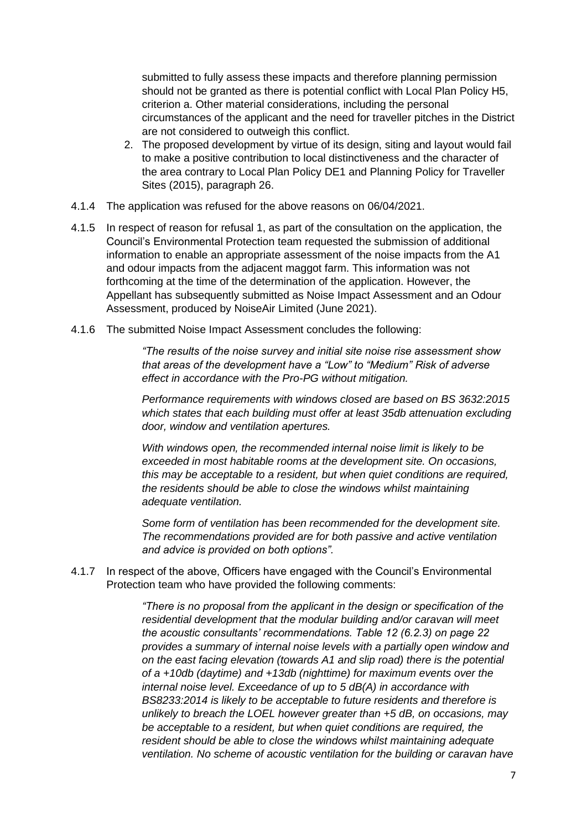submitted to fully assess these impacts and therefore planning permission should not be granted as there is potential conflict with Local Plan Policy H5, criterion a. Other material considerations, including the personal circumstances of the applicant and the need for traveller pitches in the District are not considered to outweigh this conflict.

- 2. The proposed development by virtue of its design, siting and layout would fail to make a positive contribution to local distinctiveness and the character of the area contrary to Local Plan Policy DE1 and Planning Policy for Traveller Sites (2015), paragraph 26.
- 4.1.4 The application was refused for the above reasons on 06/04/2021.
- 4.1.5 In respect of reason for refusal 1, as part of the consultation on the application, the Council's Environmental Protection team requested the submission of additional information to enable an appropriate assessment of the noise impacts from the A1 and odour impacts from the adjacent maggot farm. This information was not forthcoming at the time of the determination of the application. However, the Appellant has subsequently submitted as Noise Impact Assessment and an Odour Assessment, produced by NoiseAir Limited (June 2021).
- 4.1.6 The submitted Noise Impact Assessment concludes the following:

*"The results of the noise survey and initial site noise rise assessment show that areas of the development have a "Low" to "Medium" Risk of adverse effect in accordance with the Pro-PG without mitigation.* 

*Performance requirements with windows closed are based on BS 3632:2015 which states that each building must offer at least 35db attenuation excluding door, window and ventilation apertures.* 

*With windows open, the recommended internal noise limit is likely to be exceeded in most habitable rooms at the development site. On occasions, this may be acceptable to a resident, but when quiet conditions are required, the residents should be able to close the windows whilst maintaining adequate ventilation.* 

*Some form of ventilation has been recommended for the development site. The recommendations provided are for both passive and active ventilation and advice is provided on both options".*

4.1.7 In respect of the above, Officers have engaged with the Council's Environmental Protection team who have provided the following comments:

> *"There is no proposal from the applicant in the design or specification of the residential development that the modular building and/or caravan will meet the acoustic consultants' recommendations. Table 12 (6.2.3) on page 22 provides a summary of internal noise levels with a partially open window and on the east facing elevation (towards A1 and slip road) there is the potential of a +10db (daytime) and +13db (nighttime) for maximum events over the internal noise level. Exceedance of up to 5 dB(A) in accordance with BS8233:2014 is likely to be acceptable to future residents and therefore is unlikely to breach the LOEL however greater than +5 dB, on occasions, may be acceptable to a resident, but when quiet conditions are required, the resident should be able to close the windows whilst maintaining adequate ventilation. No scheme of acoustic ventilation for the building or caravan have*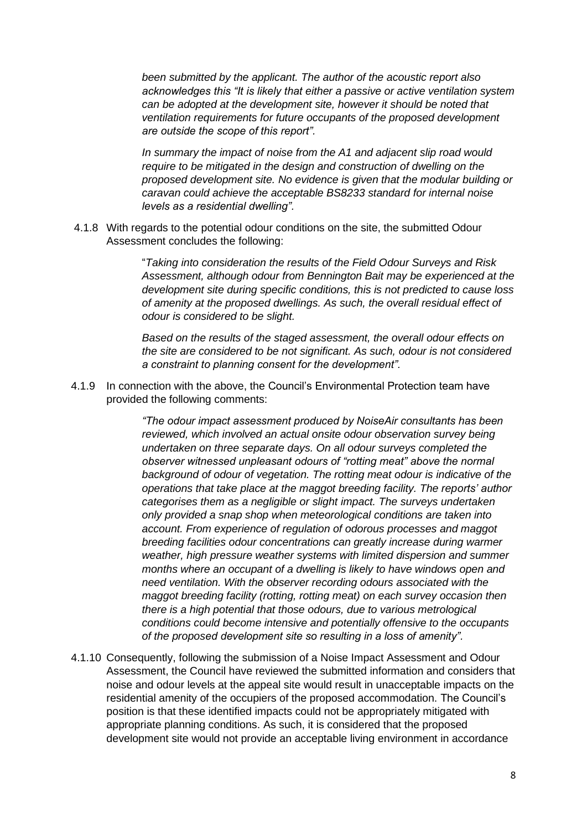*been submitted by the applicant. The author of the acoustic report also acknowledges this "It is likely that either a passive or active ventilation system can be adopted at the development site, however it should be noted that ventilation requirements for future occupants of the proposed development are outside the scope of this report".*

*In summary the impact of noise from the A1 and adjacent slip road would require to be mitigated in the design and construction of dwelling on the proposed development site. No evidence is given that the modular building or caravan could achieve the acceptable BS8233 standard for internal noise levels as a residential dwelling".* 

4.1.8 With regards to the potential odour conditions on the site, the submitted Odour Assessment concludes the following:

> "*Taking into consideration the results of the Field Odour Surveys and Risk Assessment, although odour from Bennington Bait may be experienced at the development site during specific conditions, this is not predicted to cause loss of amenity at the proposed dwellings. As such, the overall residual effect of odour is considered to be slight.*

> *Based on the results of the staged assessment, the overall odour effects on the site are considered to be not significant. As such, odour is not considered a constraint to planning consent for the development".*

4.1.9 In connection with the above, the Council's Environmental Protection team have provided the following comments:

> *"The odour impact assessment produced by NoiseAir consultants has been reviewed, which involved an actual onsite odour observation survey being undertaken on three separate days. On all odour surveys completed the observer witnessed unpleasant odours of "rotting meat" above the normal background of odour of vegetation. The rotting meat odour is indicative of the operations that take place at the maggot breeding facility. The reports' author categorises them as a negligible or slight impact. The surveys undertaken only provided a snap shop when meteorological conditions are taken into account. From experience of regulation of odorous processes and maggot breeding facilities odour concentrations can greatly increase during warmer weather, high pressure weather systems with limited dispersion and summer months where an occupant of a dwelling is likely to have windows open and need ventilation. With the observer recording odours associated with the maggot breeding facility (rotting, rotting meat) on each survey occasion then there is a high potential that those odours, due to various metrological conditions could become intensive and potentially offensive to the occupants of the proposed development site so resulting in a loss of amenity".*

4.1.10 Consequently, following the submission of a Noise Impact Assessment and Odour Assessment, the Council have reviewed the submitted information and considers that noise and odour levels at the appeal site would result in unacceptable impacts on the residential amenity of the occupiers of the proposed accommodation. The Council's position is that these identified impacts could not be appropriately mitigated with appropriate planning conditions. As such, it is considered that the proposed development site would not provide an acceptable living environment in accordance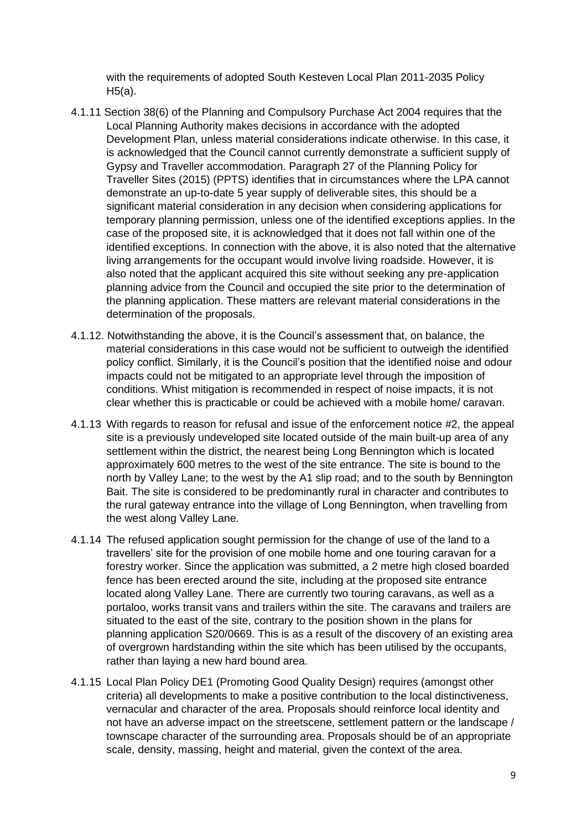with the requirements of adopted South Kesteven Local Plan 2011-2035 Policy H5(a).

- 4.1.11 Section 38(6) of the Planning and Compulsory Purchase Act 2004 requires that the Local Planning Authority makes decisions in accordance with the adopted Development Plan, unless material considerations indicate otherwise. In this case, it is acknowledged that the Council cannot currently demonstrate a sufficient supply of Gypsy and Traveller accommodation. Paragraph 27 of the Planning Policy for Traveller Sites (2015) (PPTS) identifies that in circumstances where the LPA cannot demonstrate an up-to-date 5 year supply of deliverable sites, this should be a significant material consideration in any decision when considering applications for temporary planning permission, unless one of the identified exceptions applies. In the case of the proposed site, it is acknowledged that it does not fall within one of the identified exceptions. In connection with the above, it is also noted that the alternative living arrangements for the occupant would involve living roadside. However, it is also noted that the applicant acquired this site without seeking any pre-application planning advice from the Council and occupied the site prior to the determination of the planning application. These matters are relevant material considerations in the determination of the proposals.
- 4.1.12. Notwithstanding the above, it is the Council's assessment that, on balance, the material considerations in this case would not be sufficient to outweigh the identified policy conflict. Similarly, it is the Council's position that the identified noise and odour impacts could not be mitigated to an appropriate level through the imposition of conditions. Whist mitigation is recommended in respect of noise impacts, it is not clear whether this is practicable or could be achieved with a mobile home/ caravan.
- 4.1.13 With regards to reason for refusal and issue of the enforcement notice #2, the appeal site is a previously undeveloped site located outside of the main built-up area of any settlement within the district, the nearest being Long Bennington which is located approximately 600 metres to the west of the site entrance. The site is bound to the north by Valley Lane; to the west by the A1 slip road; and to the south by Bennington Bait. The site is considered to be predominantly rural in character and contributes to the rural gateway entrance into the village of Long Bennington, when travelling from the west along Valley Lane.
- 4.1.14 The refused application sought permission for the change of use of the land to a travellers' site for the provision of one mobile home and one touring caravan for a forestry worker. Since the application was submitted, a 2 metre high closed boarded fence has been erected around the site, including at the proposed site entrance located along Valley Lane. There are currently two touring caravans, as well as a portaloo, works transit vans and trailers within the site. The caravans and trailers are situated to the east of the site, contrary to the position shown in the plans for planning application S20/0669. This is as a result of the discovery of an existing area of overgrown hardstanding within the site which has been utilised by the occupants, rather than laying a new hard bound area.
- 4.1.15 Local Plan Policy DE1 (Promoting Good Quality Design) requires (amongst other criteria) all developments to make a positive contribution to the local distinctiveness, vernacular and character of the area. Proposals should reinforce local identity and not have an adverse impact on the streetscene, settlement pattern or the landscape / townscape character of the surrounding area. Proposals should be of an appropriate scale, density, massing, height and material, given the context of the area.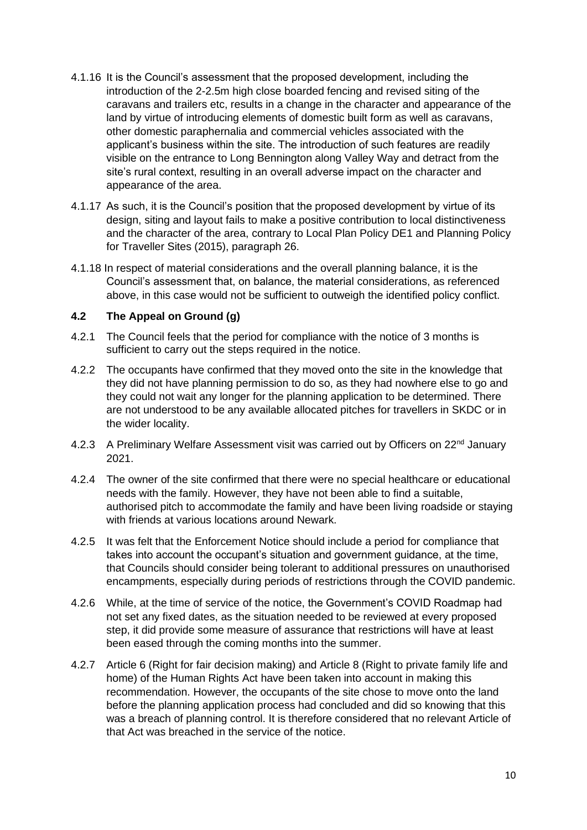- 4.1.16 It is the Council's assessment that the proposed development, including the introduction of the 2-2.5m high close boarded fencing and revised siting of the caravans and trailers etc, results in a change in the character and appearance of the land by virtue of introducing elements of domestic built form as well as caravans, other domestic paraphernalia and commercial vehicles associated with the applicant's business within the site. The introduction of such features are readily visible on the entrance to Long Bennington along Valley Way and detract from the site's rural context, resulting in an overall adverse impact on the character and appearance of the area.
- 4.1.17 As such, it is the Council's position that the proposed development by virtue of its design, siting and layout fails to make a positive contribution to local distinctiveness and the character of the area, contrary to Local Plan Policy DE1 and Planning Policy for Traveller Sites (2015), paragraph 26.
- 4.1.18 In respect of material considerations and the overall planning balance, it is the Council's assessment that, on balance, the material considerations, as referenced above, in this case would not be sufficient to outweigh the identified policy conflict.

# **4.2 The Appeal on Ground (g)**

- 4.2.1 The Council feels that the period for compliance with the notice of 3 months is sufficient to carry out the steps required in the notice.
- 4.2.2 The occupants have confirmed that they moved onto the site in the knowledge that they did not have planning permission to do so, as they had nowhere else to go and they could not wait any longer for the planning application to be determined. There are not understood to be any available allocated pitches for travellers in SKDC or in the wider locality.
- 4.2.3 A Preliminary Welfare Assessment visit was carried out by Officers on 22<sup>nd</sup> January 2021.
- 4.2.4 The owner of the site confirmed that there were no special healthcare or educational needs with the family. However, they have not been able to find a suitable, authorised pitch to accommodate the family and have been living roadside or staying with friends at various locations around Newark.
- 4.2.5 It was felt that the Enforcement Notice should include a period for compliance that takes into account the occupant's situation and government guidance, at the time, that Councils should consider being tolerant to additional pressures on unauthorised encampments, especially during periods of restrictions through the COVID pandemic.
- 4.2.6 While, at the time of service of the notice, the Government's COVID Roadmap had not set any fixed dates, as the situation needed to be reviewed at every proposed step, it did provide some measure of assurance that restrictions will have at least been eased through the coming months into the summer.
- 4.2.7 Article 6 (Right for fair decision making) and Article 8 (Right to private family life and home) of the Human Rights Act have been taken into account in making this recommendation. However, the occupants of the site chose to move onto the land before the planning application process had concluded and did so knowing that this was a breach of planning control. It is therefore considered that no relevant Article of that Act was breached in the service of the notice.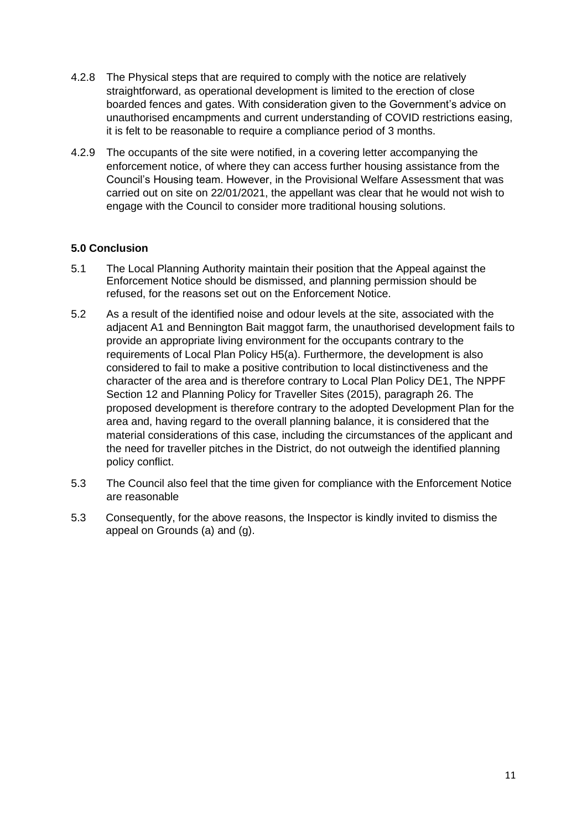- 4.2.8 The Physical steps that are required to comply with the notice are relatively straightforward, as operational development is limited to the erection of close boarded fences and gates. With consideration given to the Government's advice on unauthorised encampments and current understanding of COVID restrictions easing, it is felt to be reasonable to require a compliance period of 3 months.
- 4.2.9 The occupants of the site were notified, in a covering letter accompanying the enforcement notice, of where they can access further housing assistance from the Council's Housing team. However, in the Provisional Welfare Assessment that was carried out on site on 22/01/2021, the appellant was clear that he would not wish to engage with the Council to consider more traditional housing solutions.

### **5.0 Conclusion**

- 5.1 The Local Planning Authority maintain their position that the Appeal against the Enforcement Notice should be dismissed, and planning permission should be refused, for the reasons set out on the Enforcement Notice.
- 5.2 As a result of the identified noise and odour levels at the site, associated with the adjacent A1 and Bennington Bait maggot farm, the unauthorised development fails to provide an appropriate living environment for the occupants contrary to the requirements of Local Plan Policy H5(a). Furthermore, the development is also considered to fail to make a positive contribution to local distinctiveness and the character of the area and is therefore contrary to Local Plan Policy DE1, The NPPF Section 12 and Planning Policy for Traveller Sites (2015), paragraph 26. The proposed development is therefore contrary to the adopted Development Plan for the area and, having regard to the overall planning balance, it is considered that the material considerations of this case, including the circumstances of the applicant and the need for traveller pitches in the District, do not outweigh the identified planning policy conflict.
- 5.3 The Council also feel that the time given for compliance with the Enforcement Notice are reasonable
- 5.3 Consequently, for the above reasons, the Inspector is kindly invited to dismiss the appeal on Grounds (a) and (g).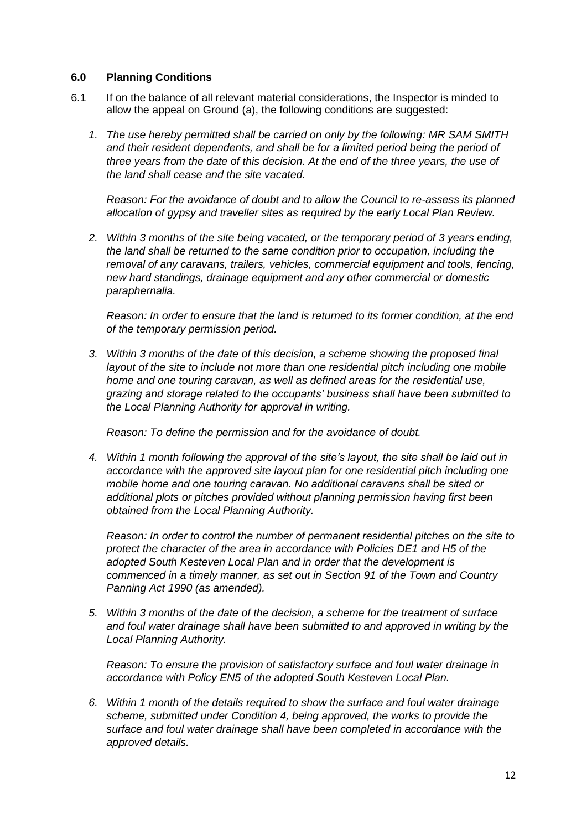#### **6.0 Planning Conditions**

- 6.1 If on the balance of all relevant material considerations, the Inspector is minded to allow the appeal on Ground (a), the following conditions are suggested:
	- *1. The use hereby permitted shall be carried on only by the following: MR SAM SMITH and their resident dependents, and shall be for a limited period being the period of three years from the date of this decision. At the end of the three years, the use of the land shall cease and the site vacated.*

*Reason: For the avoidance of doubt and to allow the Council to re-assess its planned allocation of gypsy and traveller sites as required by the early Local Plan Review.* 

*2. Within 3 months of the site being vacated, or the temporary period of 3 years ending, the land shall be returned to the same condition prior to occupation, including the removal of any caravans, trailers, vehicles, commercial equipment and tools, fencing, new hard standings, drainage equipment and any other commercial or domestic paraphernalia.* 

*Reason: In order to ensure that the land is returned to its former condition, at the end of the temporary permission period.* 

*3. Within 3 months of the date of this decision, a scheme showing the proposed final layout of the site to include not more than one residential pitch including one mobile home and one touring caravan, as well as defined areas for the residential use, grazing and storage related to the occupants' business shall have been submitted to the Local Planning Authority for approval in writing.*

*Reason: To define the permission and for the avoidance of doubt.*

*4. Within 1 month following the approval of the site's layout, the site shall be laid out in accordance with the approved site layout plan for one residential pitch including one mobile home and one touring caravan. No additional caravans shall be sited or additional plots or pitches provided without planning permission having first been obtained from the Local Planning Authority.* 

*Reason: In order to control the number of permanent residential pitches on the site to protect the character of the area in accordance with Policies DE1 and H5 of the adopted South Kesteven Local Plan and in order that the development is commenced in a timely manner, as set out in Section 91 of the Town and Country Panning Act 1990 (as amended).*

*5. Within 3 months of the date of the decision, a scheme for the treatment of surface and foul water drainage shall have been submitted to and approved in writing by the Local Planning Authority.* 

*Reason: To ensure the provision of satisfactory surface and foul water drainage in accordance with Policy EN5 of the adopted South Kesteven Local Plan.* 

*6. Within 1 month of the details required to show the surface and foul water drainage scheme, submitted under Condition 4, being approved, the works to provide the surface and foul water drainage shall have been completed in accordance with the approved details.*